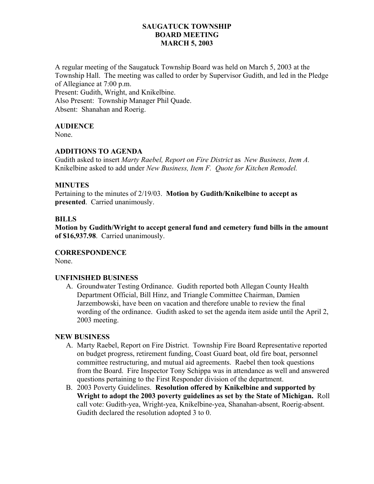## **SAUGATUCK TOWNSHIP BOARD MEETING MARCH 5, 2003**

A regular meeting of the Saugatuck Township Board was held on March 5, 2003 at the Township Hall. The meeting was called to order by Supervisor Gudith, and led in the Pledge of Allegiance at 7:00 p.m. Present: Gudith, Wright, and Knikelbine. Also Present: Township Manager Phil Quade. Absent: Shanahan and Roerig.

## **AUDIENCE**

None.

## **ADDITIONS TO AGENDA**

Gudith asked to insert *Marty Raebel, Report on Fire District* as *New Business, Item A.*  Knikelbine asked to add under *New Business, Item F. Quote for Kitchen Remodel.* 

#### **MINUTES**

Pertaining to the minutes of 2/19/03. **Motion by Gudith/Knikelbine to accept as presented**. Carried unanimously.

## **BILLS**

**Motion by Gudith/Wright to accept general fund and cemetery fund bills in the amount of \$16,937.98**. Carried unanimously.

#### **CORRESPONDENCE**

None.

#### **UNFINISHED BUSINESS**

A. Groundwater Testing Ordinance. Gudith reported both Allegan County Health Department Official, Bill Hinz, and Triangle Committee Chairman, Damien Jarzembowski, have been on vacation and therefore unable to review the final wording of the ordinance. Gudith asked to set the agenda item aside until the April 2, 2003 meeting.

## **NEW BUSINESS**

- A. Marty Raebel, Report on Fire District. Township Fire Board Representative reported on budget progress, retirement funding, Coast Guard boat, old fire boat, personnel committee restructuring, and mutual aid agreements. Raebel then took questions from the Board. Fire Inspector Tony Schippa was in attendance as well and answered questions pertaining to the First Responder division of the department.
- B. 2003 Poverty Guidelines. **Resolution offered by Knikelbine and supported by Wright to adopt the 2003 poverty guidelines as set by the State of Michigan.** Roll call vote: Gudith-yea, Wright-yea, Knikelbine-yea, Shanahan-absent, Roerig-absent. Gudith declared the resolution adopted 3 to 0.